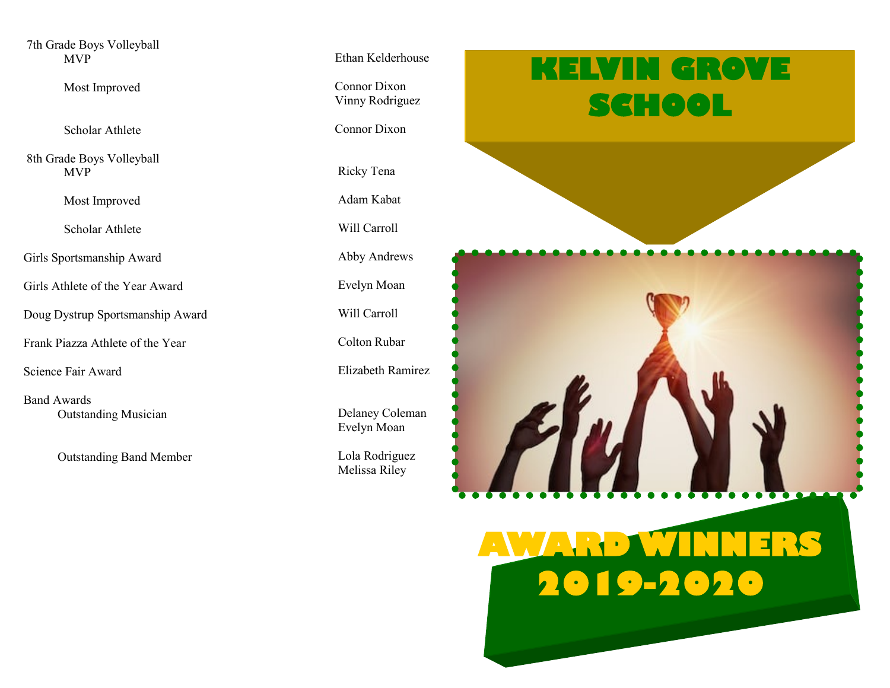7th Grade Boys Volleyball MVP

Most Improved

Scholar Athlete

8th Grade Boys Volleyball MVP

Most Improved

Scholar Athlete

Girls Sportsmanship Award

Girls Athlete of the Year Award

Doug Dystrup Sportsmanship Award

Frank Piazza Athlete of the Year

Science Fair Award

Band Awards Outstanding Musician

Outstanding Band Member

Ethan Kelderhouse

 Connor Dixon Vinny Rodriguez

Connor Dixon

Ricky Tena

Adam Kabat

Will Carroll

Abby Andrews

Evelyn Moan

Will Carroll

Colton Rubar

Elizabeth Ramirez

 Delaney Coleman Evelyn Moan

 Lola Rodriguez Melissa Riley

## **KELVIN GROVE SCHOOL**



## **AWARD WINNERS 2019-2020**